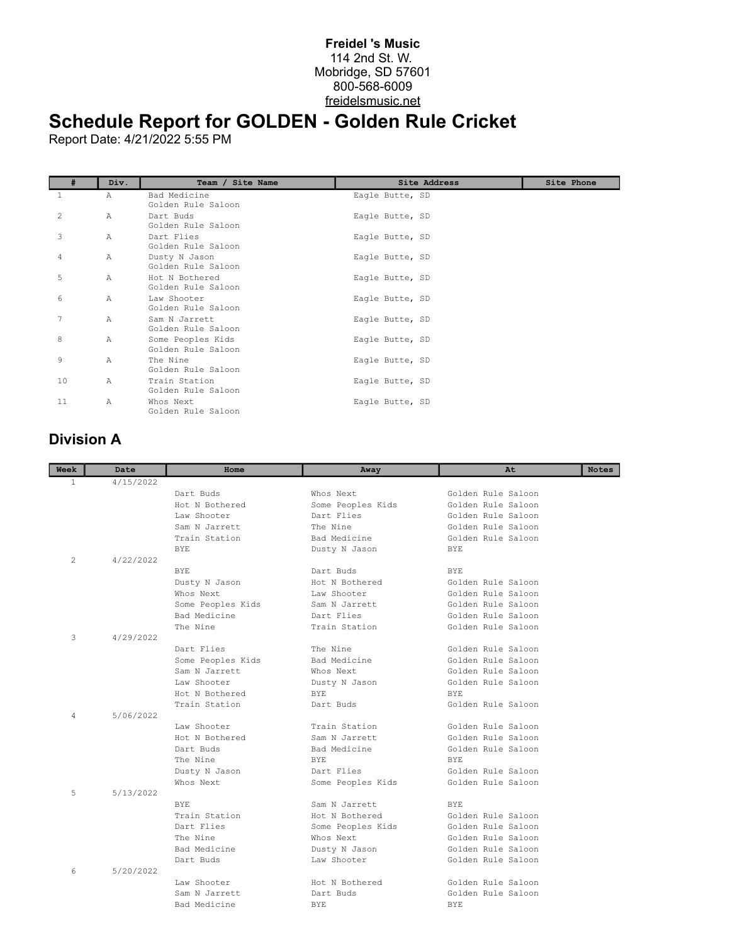## **Freidel 's Music** 114 2nd St. W. Mobridge, SD 57601 800-568-6009 freidelsmusic.net

## **Schedule Report for GOLDEN - Golden Rule Cricket**

Report Date: 4/21/2022 5:55 PM

| #  | Div.           | Team / Site Name                        | Site Address    | Site Phone |
|----|----------------|-----------------------------------------|-----------------|------------|
| 1  | Α              | Bad Medicine<br>Golden Rule Saloon      | Eagle Butte, SD |            |
| 2  | $\overline{A}$ | Dart Buds<br>Golden Rule Saloon         | Eagle Butte, SD |            |
| 3  | $\mathbb{A}$   | Dart Flies<br>Golden Rule Saloon        | Eagle Butte, SD |            |
| 4  | A              | Dusty N Jason<br>Golden Rule Saloon     | Eagle Butte, SD |            |
| 5  | $\mathbb{A}$   | Hot N Bothered<br>Golden Rule Saloon    | Eagle Butte, SD |            |
| 6  | Α              | Law Shooter<br>Golden Rule Saloon       | Eagle Butte, SD |            |
| 7  | Α              | Sam N Jarrett<br>Golden Rule Saloon     | Eagle Butte, SD |            |
| 8  | Α              | Some Peoples Kids<br>Golden Rule Saloon | Eagle Butte, SD |            |
| 9  | A              | The Nine<br>Golden Rule Saloon          | Eagle Butte, SD |            |
| 10 | $\mathbb{A}$   | Train Station<br>Golden Rule Saloon     | Eagle Butte, SD |            |
| 11 | Α              | Whos Next<br>Golden Rule Saloon         | Eagle Butte, SD |            |

## **Division A**

| 4/15/2022<br>1.<br>Dart Buds<br>Whos Next<br>Golden Rule Saloon<br>Hot. N Bothered<br>Golden Rule Saloon<br>Some Peoples Kids<br>Law Shooter<br>Dart Flies<br>Golden Rule Saloon<br>Sam N Jarrett<br>The Nine<br>Golden Rule Saloon<br>Train Station<br>Bad Medicine<br>Golden Rule Saloon<br><b>BYE</b><br><b>BYE</b><br>Dusty N Jason<br>4/22/2022<br>$\overline{2}$<br>BYE.<br>Dart Buds<br>BYE.<br>Hot N Bothered<br>Dusty N Jason<br>Golden Rule Saloon<br>Golden Rule Saloon<br>Law Shooter<br>Whos Next<br>Golden Rule Saloon<br>Some Peoples Kids<br>Sam N Jarrett<br>Bad Medicine<br>Dart Flies<br>Golden Rule Saloon<br>The Nine<br>Train Station<br>Golden Rule Saloon<br>3<br>4/29/2022<br>Dart Flies<br>The Nine<br>Golden Rule Saloon<br>Some Peoples Kids<br>Bad Medicine<br>Golden Rule Saloon<br>Sam N Jarrett<br>Whos Next<br>Golden Rule Saloon<br>Law Shooter<br>Golden Rule Saloon<br>Dusty N Jason<br>Hot N Bothered<br>BYE.<br>BYE.<br>Train Station<br>Dart Buds<br>Golden Rule Saloon<br>5/06/2022<br>4<br>Law Shooter<br>Train Station<br>Golden Rule Saloon<br>Hot N Bothered<br>Sam N Jarrett<br>Golden Rule Saloon<br>Bad Medicine<br>Golden Rule Saloon<br>Dart Buds<br>The Nine<br>BYE.<br>RYE.<br>Dart Flies<br>Golden Rule Saloon<br>Dusty N Jason<br>Golden Rule Saloon<br>Whos Next<br>Some Peoples Kids<br>5<br>5/13/2022<br>BYE.<br>Sam N Jarrett<br>BYE.<br>Train Station<br>Golden Rule Saloon<br>Hot. N Bothered<br>Dart Flies<br>Golden Rule Saloon<br>Some Peoples Kids<br>The Nine<br>Whos Next<br>Golden Rule Saloon<br>Bad Medicine<br>Golden Rule Saloon<br>Dusty N Jason<br>Golden Rule Saloon<br>Dart Buds<br>Law Shooter<br>5/20/2022<br>6<br>Law Shooter<br>Hot N Bothered<br>Golden Rule Saloon<br>Golden Rule Saloon<br>Sam N Jarrett<br>Dart Buds<br>Bad Medicine<br><b>BYE</b><br><b>BYE</b> | Week | Date | Home | Away | At | <b>Notes</b> |
|----------------------------------------------------------------------------------------------------------------------------------------------------------------------------------------------------------------------------------------------------------------------------------------------------------------------------------------------------------------------------------------------------------------------------------------------------------------------------------------------------------------------------------------------------------------------------------------------------------------------------------------------------------------------------------------------------------------------------------------------------------------------------------------------------------------------------------------------------------------------------------------------------------------------------------------------------------------------------------------------------------------------------------------------------------------------------------------------------------------------------------------------------------------------------------------------------------------------------------------------------------------------------------------------------------------------------------------------------------------------------------------------------------------------------------------------------------------------------------------------------------------------------------------------------------------------------------------------------------------------------------------------------------------------------------------------------------------------------------------------------------------------------------------------------------------------------------------------------|------|------|------|------|----|--------------|
|                                                                                                                                                                                                                                                                                                                                                                                                                                                                                                                                                                                                                                                                                                                                                                                                                                                                                                                                                                                                                                                                                                                                                                                                                                                                                                                                                                                                                                                                                                                                                                                                                                                                                                                                                                                                                                                    |      |      |      |      |    |              |
|                                                                                                                                                                                                                                                                                                                                                                                                                                                                                                                                                                                                                                                                                                                                                                                                                                                                                                                                                                                                                                                                                                                                                                                                                                                                                                                                                                                                                                                                                                                                                                                                                                                                                                                                                                                                                                                    |      |      |      |      |    |              |
|                                                                                                                                                                                                                                                                                                                                                                                                                                                                                                                                                                                                                                                                                                                                                                                                                                                                                                                                                                                                                                                                                                                                                                                                                                                                                                                                                                                                                                                                                                                                                                                                                                                                                                                                                                                                                                                    |      |      |      |      |    |              |
|                                                                                                                                                                                                                                                                                                                                                                                                                                                                                                                                                                                                                                                                                                                                                                                                                                                                                                                                                                                                                                                                                                                                                                                                                                                                                                                                                                                                                                                                                                                                                                                                                                                                                                                                                                                                                                                    |      |      |      |      |    |              |
|                                                                                                                                                                                                                                                                                                                                                                                                                                                                                                                                                                                                                                                                                                                                                                                                                                                                                                                                                                                                                                                                                                                                                                                                                                                                                                                                                                                                                                                                                                                                                                                                                                                                                                                                                                                                                                                    |      |      |      |      |    |              |
|                                                                                                                                                                                                                                                                                                                                                                                                                                                                                                                                                                                                                                                                                                                                                                                                                                                                                                                                                                                                                                                                                                                                                                                                                                                                                                                                                                                                                                                                                                                                                                                                                                                                                                                                                                                                                                                    |      |      |      |      |    |              |
|                                                                                                                                                                                                                                                                                                                                                                                                                                                                                                                                                                                                                                                                                                                                                                                                                                                                                                                                                                                                                                                                                                                                                                                                                                                                                                                                                                                                                                                                                                                                                                                                                                                                                                                                                                                                                                                    |      |      |      |      |    |              |
|                                                                                                                                                                                                                                                                                                                                                                                                                                                                                                                                                                                                                                                                                                                                                                                                                                                                                                                                                                                                                                                                                                                                                                                                                                                                                                                                                                                                                                                                                                                                                                                                                                                                                                                                                                                                                                                    |      |      |      |      |    |              |
|                                                                                                                                                                                                                                                                                                                                                                                                                                                                                                                                                                                                                                                                                                                                                                                                                                                                                                                                                                                                                                                                                                                                                                                                                                                                                                                                                                                                                                                                                                                                                                                                                                                                                                                                                                                                                                                    |      |      |      |      |    |              |
|                                                                                                                                                                                                                                                                                                                                                                                                                                                                                                                                                                                                                                                                                                                                                                                                                                                                                                                                                                                                                                                                                                                                                                                                                                                                                                                                                                                                                                                                                                                                                                                                                                                                                                                                                                                                                                                    |      |      |      |      |    |              |
|                                                                                                                                                                                                                                                                                                                                                                                                                                                                                                                                                                                                                                                                                                                                                                                                                                                                                                                                                                                                                                                                                                                                                                                                                                                                                                                                                                                                                                                                                                                                                                                                                                                                                                                                                                                                                                                    |      |      |      |      |    |              |
|                                                                                                                                                                                                                                                                                                                                                                                                                                                                                                                                                                                                                                                                                                                                                                                                                                                                                                                                                                                                                                                                                                                                                                                                                                                                                                                                                                                                                                                                                                                                                                                                                                                                                                                                                                                                                                                    |      |      |      |      |    |              |
|                                                                                                                                                                                                                                                                                                                                                                                                                                                                                                                                                                                                                                                                                                                                                                                                                                                                                                                                                                                                                                                                                                                                                                                                                                                                                                                                                                                                                                                                                                                                                                                                                                                                                                                                                                                                                                                    |      |      |      |      |    |              |
|                                                                                                                                                                                                                                                                                                                                                                                                                                                                                                                                                                                                                                                                                                                                                                                                                                                                                                                                                                                                                                                                                                                                                                                                                                                                                                                                                                                                                                                                                                                                                                                                                                                                                                                                                                                                                                                    |      |      |      |      |    |              |
|                                                                                                                                                                                                                                                                                                                                                                                                                                                                                                                                                                                                                                                                                                                                                                                                                                                                                                                                                                                                                                                                                                                                                                                                                                                                                                                                                                                                                                                                                                                                                                                                                                                                                                                                                                                                                                                    |      |      |      |      |    |              |
|                                                                                                                                                                                                                                                                                                                                                                                                                                                                                                                                                                                                                                                                                                                                                                                                                                                                                                                                                                                                                                                                                                                                                                                                                                                                                                                                                                                                                                                                                                                                                                                                                                                                                                                                                                                                                                                    |      |      |      |      |    |              |
|                                                                                                                                                                                                                                                                                                                                                                                                                                                                                                                                                                                                                                                                                                                                                                                                                                                                                                                                                                                                                                                                                                                                                                                                                                                                                                                                                                                                                                                                                                                                                                                                                                                                                                                                                                                                                                                    |      |      |      |      |    |              |
|                                                                                                                                                                                                                                                                                                                                                                                                                                                                                                                                                                                                                                                                                                                                                                                                                                                                                                                                                                                                                                                                                                                                                                                                                                                                                                                                                                                                                                                                                                                                                                                                                                                                                                                                                                                                                                                    |      |      |      |      |    |              |
|                                                                                                                                                                                                                                                                                                                                                                                                                                                                                                                                                                                                                                                                                                                                                                                                                                                                                                                                                                                                                                                                                                                                                                                                                                                                                                                                                                                                                                                                                                                                                                                                                                                                                                                                                                                                                                                    |      |      |      |      |    |              |
|                                                                                                                                                                                                                                                                                                                                                                                                                                                                                                                                                                                                                                                                                                                                                                                                                                                                                                                                                                                                                                                                                                                                                                                                                                                                                                                                                                                                                                                                                                                                                                                                                                                                                                                                                                                                                                                    |      |      |      |      |    |              |
|                                                                                                                                                                                                                                                                                                                                                                                                                                                                                                                                                                                                                                                                                                                                                                                                                                                                                                                                                                                                                                                                                                                                                                                                                                                                                                                                                                                                                                                                                                                                                                                                                                                                                                                                                                                                                                                    |      |      |      |      |    |              |
|                                                                                                                                                                                                                                                                                                                                                                                                                                                                                                                                                                                                                                                                                                                                                                                                                                                                                                                                                                                                                                                                                                                                                                                                                                                                                                                                                                                                                                                                                                                                                                                                                                                                                                                                                                                                                                                    |      |      |      |      |    |              |
|                                                                                                                                                                                                                                                                                                                                                                                                                                                                                                                                                                                                                                                                                                                                                                                                                                                                                                                                                                                                                                                                                                                                                                                                                                                                                                                                                                                                                                                                                                                                                                                                                                                                                                                                                                                                                                                    |      |      |      |      |    |              |
|                                                                                                                                                                                                                                                                                                                                                                                                                                                                                                                                                                                                                                                                                                                                                                                                                                                                                                                                                                                                                                                                                                                                                                                                                                                                                                                                                                                                                                                                                                                                                                                                                                                                                                                                                                                                                                                    |      |      |      |      |    |              |
|                                                                                                                                                                                                                                                                                                                                                                                                                                                                                                                                                                                                                                                                                                                                                                                                                                                                                                                                                                                                                                                                                                                                                                                                                                                                                                                                                                                                                                                                                                                                                                                                                                                                                                                                                                                                                                                    |      |      |      |      |    |              |
|                                                                                                                                                                                                                                                                                                                                                                                                                                                                                                                                                                                                                                                                                                                                                                                                                                                                                                                                                                                                                                                                                                                                                                                                                                                                                                                                                                                                                                                                                                                                                                                                                                                                                                                                                                                                                                                    |      |      |      |      |    |              |
|                                                                                                                                                                                                                                                                                                                                                                                                                                                                                                                                                                                                                                                                                                                                                                                                                                                                                                                                                                                                                                                                                                                                                                                                                                                                                                                                                                                                                                                                                                                                                                                                                                                                                                                                                                                                                                                    |      |      |      |      |    |              |
|                                                                                                                                                                                                                                                                                                                                                                                                                                                                                                                                                                                                                                                                                                                                                                                                                                                                                                                                                                                                                                                                                                                                                                                                                                                                                                                                                                                                                                                                                                                                                                                                                                                                                                                                                                                                                                                    |      |      |      |      |    |              |
|                                                                                                                                                                                                                                                                                                                                                                                                                                                                                                                                                                                                                                                                                                                                                                                                                                                                                                                                                                                                                                                                                                                                                                                                                                                                                                                                                                                                                                                                                                                                                                                                                                                                                                                                                                                                                                                    |      |      |      |      |    |              |
|                                                                                                                                                                                                                                                                                                                                                                                                                                                                                                                                                                                                                                                                                                                                                                                                                                                                                                                                                                                                                                                                                                                                                                                                                                                                                                                                                                                                                                                                                                                                                                                                                                                                                                                                                                                                                                                    |      |      |      |      |    |              |
|                                                                                                                                                                                                                                                                                                                                                                                                                                                                                                                                                                                                                                                                                                                                                                                                                                                                                                                                                                                                                                                                                                                                                                                                                                                                                                                                                                                                                                                                                                                                                                                                                                                                                                                                                                                                                                                    |      |      |      |      |    |              |
|                                                                                                                                                                                                                                                                                                                                                                                                                                                                                                                                                                                                                                                                                                                                                                                                                                                                                                                                                                                                                                                                                                                                                                                                                                                                                                                                                                                                                                                                                                                                                                                                                                                                                                                                                                                                                                                    |      |      |      |      |    |              |
|                                                                                                                                                                                                                                                                                                                                                                                                                                                                                                                                                                                                                                                                                                                                                                                                                                                                                                                                                                                                                                                                                                                                                                                                                                                                                                                                                                                                                                                                                                                                                                                                                                                                                                                                                                                                                                                    |      |      |      |      |    |              |
|                                                                                                                                                                                                                                                                                                                                                                                                                                                                                                                                                                                                                                                                                                                                                                                                                                                                                                                                                                                                                                                                                                                                                                                                                                                                                                                                                                                                                                                                                                                                                                                                                                                                                                                                                                                                                                                    |      |      |      |      |    |              |
|                                                                                                                                                                                                                                                                                                                                                                                                                                                                                                                                                                                                                                                                                                                                                                                                                                                                                                                                                                                                                                                                                                                                                                                                                                                                                                                                                                                                                                                                                                                                                                                                                                                                                                                                                                                                                                                    |      |      |      |      |    |              |
|                                                                                                                                                                                                                                                                                                                                                                                                                                                                                                                                                                                                                                                                                                                                                                                                                                                                                                                                                                                                                                                                                                                                                                                                                                                                                                                                                                                                                                                                                                                                                                                                                                                                                                                                                                                                                                                    |      |      |      |      |    |              |
|                                                                                                                                                                                                                                                                                                                                                                                                                                                                                                                                                                                                                                                                                                                                                                                                                                                                                                                                                                                                                                                                                                                                                                                                                                                                                                                                                                                                                                                                                                                                                                                                                                                                                                                                                                                                                                                    |      |      |      |      |    |              |
|                                                                                                                                                                                                                                                                                                                                                                                                                                                                                                                                                                                                                                                                                                                                                                                                                                                                                                                                                                                                                                                                                                                                                                                                                                                                                                                                                                                                                                                                                                                                                                                                                                                                                                                                                                                                                                                    |      |      |      |      |    |              |
|                                                                                                                                                                                                                                                                                                                                                                                                                                                                                                                                                                                                                                                                                                                                                                                                                                                                                                                                                                                                                                                                                                                                                                                                                                                                                                                                                                                                                                                                                                                                                                                                                                                                                                                                                                                                                                                    |      |      |      |      |    |              |